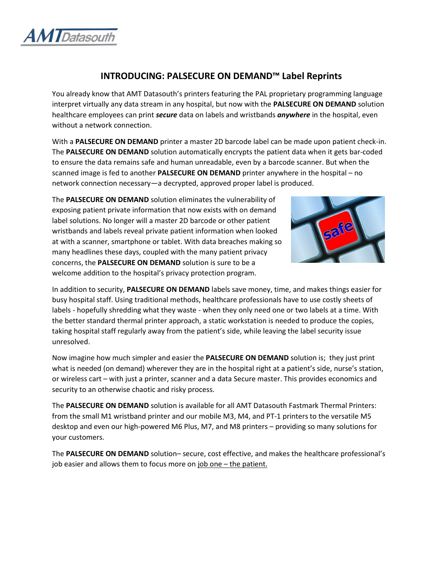

## **INTRODUCING: PALSECURE ON DEMAND™ Label Reprints**

You already know that AMT Datasouth's printers featuring the PAL proprietary programming language interpret virtually any data stream in any hospital, but now with the **PALSECURE ON DEMAND** solution healthcare employees can print *secure* data on labels and wristbands *anywhere* in the hospital, even without a network connection.

With a **PALSECURE ON DEMAND** printer a master 2D barcode label can be made upon patient check-in. The **PALSECURE ON DEMAND** solution automatically encrypts the patient data when it gets bar-coded to ensure the data remains safe and human unreadable, even by a barcode scanner. But when the scanned image is fed to another **PALSECURE ON DEMAND** printer anywhere in the hospital – no network connection necessary—a decrypted, approved proper label is produced.

The **PALSECURE ON DEMAND** solution eliminates the vulnerability of exposing patient private information that now exists with on demand label solutions. No longer will a master 2D barcode or other patient wristbands and labels reveal private patient information when looked at with a scanner, smartphone or tablet. With data breaches making so many headlines these days, coupled with the many patient privacy concerns, the **PALSECURE ON DEMAND** solution is sure to be a welcome addition to the hospital's privacy protection program.



In addition to security, **PALSECURE ON DEMAND** labels save money, time, and makes things easier for busy hospital staff. Using traditional methods, healthcare professionals have to use costly sheets of labels - hopefully shredding what they waste - when they only need one or two labels at a time. With the better standard thermal printer approach, a static workstation is needed to produce the copies, taking hospital staff regularly away from the patient's side, while leaving the label security issue unresolved.

Now imagine how much simpler and easier the **PALSECURE ON DEMAND** solution is; they just print what is needed (on demand) wherever they are in the hospital right at a patient's side, nurse's station, or wireless cart – with just a printer, scanner and a data Secure master. This provides economics and security to an otherwise chaotic and risky process.

The **PALSECURE ON DEMAND** solution is available for all AMT Datasouth Fastmark Thermal Printers: from the small M1 wristband printer and our mobile M3, M4, and PT-1 printers to the versatile M5 desktop and even our high-powered M6 Plus, M7, and M8 printers – providing so many solutions for your customers.

The **PALSECURE ON DEMAND** solution– secure, cost effective, and makes the healthcare professional's job easier and allows them to focus more on job one – the patient.